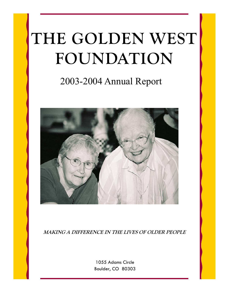# **THE GOLDEN WEST FOUNDATION**

## 2003-2004 Annual Report



**MAKING A DIFFERENCE IN THE LIVES OF OLDER PEOPLE** 

1055 Adams Circle Boulder, CO 80303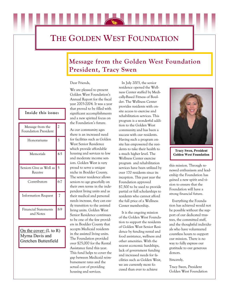## **THE GOLDEN WEST FOUNDATION**

## **Message from the Golden West Foundation President, Tracy Swen**

In July 2003, the senior

Dear Friends,

We are pleased to present Golden West Foundation's Annual Report for the fiscal year 2003-2004. It was a year that proved to be filled with significant accomplishments and a new spirited focus on the Foundation's future.

As our community ages there is an increased need for facilities such as Golden West Senior Residence which provide affordable housing and services to low and moderate income seniors. Golden West is very proud to serve a unique niche in Boulder County. The senior residence allows seniors to age gracefully on their own terms in the independent living units and as their medical and personal needs increase, they can easily transition to the assisted living units. Golden West Senior Residence continues to be one of the few providers in Boulder County that accepts Medicaid residents in the assisted living units. The Foundation provided over \$25,000 for the Rental Assistance fund this year. This fund helps to cover the gap between Medicaid reimbursement rates and the actual cost of providing housing and services.

residence opened the Wellness Center staffed by Medically-Based Fitness of Boulder. The Wellness Center provides residents with onsite access to exercise and rehabilitation services. This program is a wonderful addition to the Golden West community and has been a success with our residents. Having such a program onsite has empowered the residents to take their health to a much higher level. The Wellness Center exercise program and rehabilitation services have been utilized by over 170 residents since its inception. This past year the Foundation approved \$7,500 to be used to provide partial or full scholarships to residents who cannot afford the full price of a Wellness Center membership.

 It is the ongoing mission of the Golden West Foundation to support the residents of Golden West Senior Residence by funding rental and food assistance, wellness and other amenities. With the recent economic hardships, lack of government funding and increased needs for facilities such as Golden West, we are currently more focused than ever to achieve



**Tracy Swen, President Golden West Foundation** 

this mission. Through renewed enthusiasm and leadership the Foundation has gained a new spirit and vision to ensure that the Foundation will have a strong financial future.

 Everything the Foundation has achieved would not be possible without the support of our dedicated trustees, the committed staff, and the thoughtful individuals who have volunteered countless hours to support our mission. There is no way to fully express our gratitude to our generous donors.

Sincerely,

Tracy Swen, President Golden West Foundation

#### **Inside this issue:**

| Message from the<br><b>Foundation President</b> | $\overline{c}$ |
|-------------------------------------------------|----------------|
| Honorariums                                     | 3              |
| Memorials                                       | $4-5$          |
| Seniors Give as Well as<br>Receive              | 5              |
| Contributors                                    | $6-7$          |
| <b>Information Request</b>                      | 7              |
| <b>Financial Statements</b><br>and Notes        | 8.9            |

On the cover:  $(L \text{ to } R)$ Myrna Davis and Gretchen Buttenfield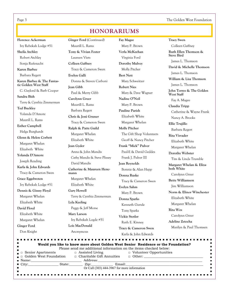Page 3 The Golden West Foundation

### **HONORARIUMS**

**Fay Magee** 

**Bert Nett** 

 Mary P. Brown **Verla McKeehan**  Virginia Ford **Dorothy Mulvey**  Molly Pitcher

**Florence Ackerman**  Ivy Rebekah Lodge #51 **Sheila Atchley**  Robert Atchley Sonja Rufenacht **Karen Barbee**  Barbara Regert **Karen Barbee & The Fantastic Golden West Staff**  C. Gaylord & Barb Cooper **Sandra Bish**  Terry & Cynthia Zimmerman **Ted Buckley**  Yolanda D'Amore Maurill L. Rams **Esther Campbell**  Helga Burghardt **Glenn & Helen Corbett**  Margaret Whelan Elizabeth White **Yolanda D'Amore**  Joseph Reading **Karla & John Edwards**  Tracy & Cameron Swen **Grace Eggebroten**  Ivy Rebekah Lodge #51 **Dennis & Ginny Floyd**  Margaret Whelan Elizabeth White **David Floyd**  Elizabeth White Margaret Whelan **Ginger Ford**  Don Knight

**Ginger Ford** (Continued) Maurill L. Rams **Tony & Vivian Foster**  Laureen Viets **Colleen Gaffney**  Tracy & Cameron Swen **Evelyn Galli**  Donna & Steven Carboni **Jean Gibb**  Paul & Merry Gibb **Carolynn Greer**  Maurill L. Rams Barbara Regert **Chris & Joni Gruner**  Tracy & Cameron Swen **Ralph & Patty Guild**  Margaret Whelan Elizabeth White **Jean Gyder**  Anna & John Mandis Cathy Mandis & Steve Plissey David Mandis **Catherine & Maureen Hencmann**  Margaret Whelan Elizabeth White **Gary Howell**  Terry & Cynthia Zimmerman **Lyla Keeling**  Peggy & Jeff Morse **Mary Larson**  Ivy Rebekah Logde #51 **Lois MacDonald** 

Anonymous

 Mary Schweitzer **Robert Nies**  Mary & Dave Wagner **Nadine O'Neil**  Mary P. Brown **Pauline Parish**  Elizabeth White Margaret Whelan **Molly Pitcher**  The Gift Shop Volunteers Geoff & Nancy Pitcher **Frank "Mick" Pulver**  Paul-E & David Geddes Frank J. Pulver III **Jean Reynolds**  Bonnie & Alan Hepp **Donna Ruske**  Tracy & Cameron Swen **Evelyn Sahm**  Mary P. Brown **Donna Sparks**  Kenneth Gurule Tony Sparks **Vickie Stotler**  Ruth E. Kinney **Tracy & Cameron Swen** 

Karla & John Edwards

**Tracy Swen**  Colleen Gaffney **Ruth Ellen Thomson & Steve Bird**  James L. Thomson **David & Michelle Thomson**  James L. Thomson **William & Lisa Thomson**  James L. Thomson **John Torres & The Golden West Staff**  Fay A. Magee **Claudia Tripp**  Catherine & Wayne Frank Nancy A. Brooks **Ellie Trujillo**  Barbara Regert **Rita Visvader**  Elizabeth White Margaret Whelan **Dorothy Webster**  Tim & Linda Trumble **Margaret Whelan & Elizabeth White**  Carolynn Greer **Betty Williamson**  Jim Williamson **Norm & Elinor Winchester** 

 Elizabeth White Margaret Whelan

 Carolynn Greer **Adeline Zetocha** 

Marilyn & Paul Thomsen

**Rita Wos** 

| Would you like to know more about Golden West Senior Residence or the Foundation?                                                                                                                                                 |
|-----------------------------------------------------------------------------------------------------------------------------------------------------------------------------------------------------------------------------------|
|                                                                                                                                                                                                                                   |
| <b>n</b> $\Box$ Golden West Foundation $\Box$ Charitable Gift Annuities $\Box$ Other:                                                                                                                                             |
|                                                                                                                                                                                                                                   |
|                                                                                                                                                                                                                                   |
|                                                                                                                                                                                                                                   |
|                                                                                                                                                                                                                                   |
| Please send me additional information on the items checked below:<br>Senior Apartments □ Assisted Living □ Volunteer Opportunities<br>■ Name: Address:<br>City: State: Zip: Email:<br>Or Call (303) 444-3967 for more information |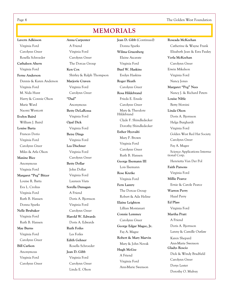Page 4 The Golden West Foundation

## **MEMORIALS**

**Lavern Adkisson**  Virginia Ford Carolynn Greer Rosella Schroeder **Cathaleen Ahern**  Virginia Ford **Ferne Anderson**  Dennis & Karen Anderson Virginia Ford M. Nida Hunt Harry & Connie Olson Marie Ward Naomi Westcott **Evelyn Baird**  William J. Baird **Louise Barta**  Frances Dorio Virginia Ford Carolynn Greer Miles & Arla Olson **Maxine Bice**  Anonymous Virginia Ford **Margaret "Peg" Bitzer**  Louise R. Barta Eva L. Crolius Virginia Ford Ruth B. Hansen Donna Sparks **Nelle Brubaker**  Virginia Ford Ruth B. Hansen **May Burns**  Virginia Ford Carolynn Greer **Bill Carlson**  Anonymous Virginia Ford Carolynn Greer

**Anna Carpenter**  A Friend Virginia Ford Carolynn Greer The Dorcas Group **Ken Cox**  Shirley & Ralph Thompson **Marjorie Craven**  Virginia Ford Carolynn Greer **"Dad"**  Anonymous **Betty DeLaRossa**  Virginia Ford **Opal Dick**  Virginia Ford **Betsy Dings**  Virginia Ford **Lea Dischner**  Virginia Ford Carolynn Greer **Betty Dollar**  John Dollar Virginia Ford Laureen Viets **Sorella Dunagan**  A Friend Doris A. Bjornson Virginia Ford Carolynn Greer **Harold W. Edwards**  Doris A. Edwards **Ruth Foiles**  Les Foiles **Edith Gehner**  Rosella Schroeder **Jean D. Gibb**  Virginia Ford Carolynn Greer Linda E. Olson

**Jean D. Gibb** (Continued) Donna Sparks **Wilma Gruenberg**  Elaine Azcarate Virginia Ford **Buel W. Haskins**  Evelyn Haskins **Roger Heath**  Carolynn Greer **Rosa Hildebrand**  Frieda E. Enssle Carolynn Greer Mary & Theodore Hildebrand Clyde F. Shindledecker Dorothy Shindledecker **Esther Hyovalti**  Mary P. Brown Virginia Ford Carolynn Greer Ruth B. Hansen **George Ilsemann III**  Lois Ilsemann **Rose Kretke**  Virginia Ford **Fern Lantry**  The Dorcas Group Robert & Ada Heline **Elaine Leighton**  Lillian Montanari **Connie Lemmey**  Carolynn Greer **George Edgar Magee, Jr.**  Fay A. Magee **Robert & Mary Marvin**  Mary & John Novak **Hugh McGee**  A Friend Virginia Ford Ann-Marie Swenson

**Roseada McKeehan**  Catherine & Wayne Frank Elizabeth Jean & Ezra Pauley **Verla McKeehan**  Carolynn Greer Erwin Mikelson Virginia Ford Nancy Jones **Margaret "Peg" Nees**  Nancy J. & Richard Peters **Louise Nible**  Betty Sforzini **Linda Olson**  Doris A. Bjornson Helga Burghardt Virginia Ford Golden West Red Hat Society Carolynn Greer Fay A. Magee Science Applications International Corp. Henrietta Van Der Pol **Faith Parsons** Virginia Ford **Millie Pearce**  Ernie & Carole Pearce **Warren Perry**  Hazel Perry **Ed Plass**  Virginia Ford **Martha Pratt**  A Friend Doris A. Bjornson Lanny & Camille Outlaw Karen Shepard Ann-Marie Swenson **Gladys Roscio**  Dick & Windy Bradfield Carolynn Greer Dorys Lester Dorothy O. Mulvey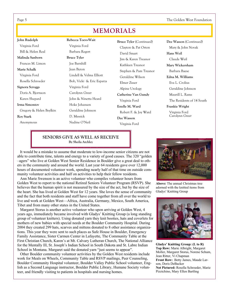Page 5 The Golden West Foundation

## **MEMORIALS**

**John Rudolph**  Virginia Ford Bill & Helen Real **Malinda Sanborn**  Frances M. Limon **Marie Schalk**  Virginia Ford Rosella Schroeder **Signora Scroggs**  Doris A. Bjornson Karen Shepard **Irma Simontov**  Gregory & Helen Beylkin **Roy Stark**  Anonymous

 Virginia Ford Barbara Regert **Bruce Tyler**  Joe Barnhill Jean Byron Lindell & Velma Elliott Bob, Vicki & Eric Esparza Virginia Ford Carolynn Greer John & Ninetta Heard Hoke Johansen Geraldine Johnson D. Messick Nadine O'Neil

**Rebecca Toevs-Wait** 

**Bruce Tyler** (Continued) Clayton & Pat Orton David Smart Jim & Karen Treanor Kathleen Treanor Stephen & Pam Treanor Geraldine Wilson Elmer Zisser Alpine Urology **Catherine Van Gundy**  Virginia Ford **Estelle M. Ward**  Robert F. & Joy Ward **Dee Wasson**  Virginia Ford

**Dee Wasson** (Continued) Mary & John Novak **Hans Weil**  Claude Weil **Mary Wickersham**  Barbara Baese **Edna M. Williams**  Eva L. Crolius Geraldine Johnson Maurill L. Rams The Residents of 14 South **Frankie Wright**  Virginia Ford Carolynn Greer

#### **SENIORS GIVE AS WELL AS RECEIVE By Sheila Atchley**

 It would be a mistake to assume that moderate to low-income senior citizens are not able to contribute time, talents and energy to a variety of good causes. The 320 "golden –agers" who live at Golden West Senior Residence in Boulder give a great deal to others in the community and around the world. Last year 64 residents gave over 12,000 hours of documented volunteer work, spending nearly half of that time on outside community volunteer activities and half on activities to help their fellow residents.

 Ann Marie Swenson is an active volunteer who compiles volunteer hours from Golden West to report to the national Retired Seniors Volunteer Program (RSVP). She believes that the human spirit is not measured by the size of the act, but by the size of the heart. She has lived at Golden West for 12 years. She loves the sense of community and the fact that both residents and staff have come together from all over the world to live and work at Golden West—Africa, Australia, Germany, Mexico, South America, Tibet and from many other states in the United States.

 Margaret Storus is another active volunteer who upon arriving at Golden West, 4 years ago, immediately became involved with Gladys' Knitting Group (a long standing group of volunteer knitters). Using donated yarn they knit booties, hats and coverlets for mothers of new babies with special needs at the Boulder Community Hospital. During 2004 they created 299 hats, scarves and mittens donated to 8 other assistance organizations. This year they were sent to such places as Safe House in Boulder, Emergency Family Assistance, Sister Carmen Center in Lafayette, The Community Table at the First Christian Church, Karen's at Mt. Calvary Lutheran Church, The National Alliance for the Mentally Ill, St. Joseph's Indian School in South Dakota and St. Labre Indian School in Montana. Margaret said the donated yarn "just seems to appear".

 Other Boulder community volunteer activities by the Golden West residents include work for Meals on Wheels, Community Table and RSVP mailings, Peer Counseling, Boulder Community Hospital volunteer, Boulder Valley Public School volunteer, English as a Second Language instructor, Boulder Public Library, Humane Society volunteer, and friendly visiting to patients in hospitals and nursing homes.



**Above:** The annual Christmas tree adorned with the knitted items from Gladys' Knitting Group



**Gladys' Knitting Group: (L to R) Top Row:** Marie Albright, Margaret Moller, Margaret Storus, Norene Schum, Jean Ritter, Vi Chapman **Front Row:** Betty James, Maude Larson, Doris DeBacker **Not Pictured:** Rosella Schroeder, Marie Pizzichino, Mary Ellen Bartling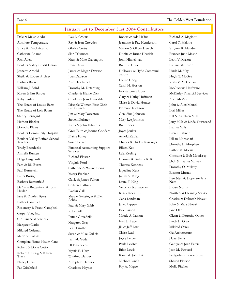Page 6 The Golden West Foundation

**January 1st to December 31st 2004 Contributors** 

Dale & Melanie Abel Absolute Temperature Vince & Carol Acunto Catherine Adams Rick Allen Boulder Valley Credit Union Jeanette Arnold Sheila & Robert Atchley Barbara Baese William J. Baird Karen & Jim Barbee Ruby Barbee The Estate of Louise Barta The Estate of Lois Baum Shirley Berngard Herbert Blacker Dorothy Blazis Boulder Community Hospital Boulder Valley Retired School Teachers Trudy Brendecke Armella Bunten Helga Burghardt Pam & Bill Burns Paul Burnstein Laura Burright Barbara Buttenfield DeAnne Buttenfield & John Huyler Jane & Charles Byers Esther Campbell Rosemary & Frank Campbell Carpet Van, Inc. CIS Financial Services Margaret Clarke Mildred Coleman Marjorie Collins Complete Home Health Care Robert & Doris Cotton Robert T. Craig & Karen Tracy Nancy Cress Pat Critchfield

Eva L. Crolius Ray & Jean Crowder Gladys Curtis Skip D'Amore Mary & Mike Davenport Irene Davis James & Megan Dawson Joan Dawson Ann Deschanel Dorothy M. Deterding Charles & Elaine Dick Charles & Jean Dinwiddie Disciple Women First Christian Church Jim & Mary Downton Steven Dulaney Karla & John Edwards Greg Faith & Joanna Goddard Elaine Farley Susan Fernie Financial Accounting Support Services Richard Flower Virginia Ford Catherine & Wayne Frank Marga Franken Gayle & James Fulton Colleen Gaffney Evelyn Galli Marcie Geissinger & Neil Ashby Paul & Mary Gibb Ruby Gill Putzie Govednik Margaret Gray Pearl Grothe Susan & Mike Gulizia Jean M. Gyder HDS Services Myrtis E. Harp Winifred Harper Adolph F. Harrison Charlotte Haynes

Robert & Ada Heline Jeannine & Ray Henderson Marion & Oliver Hersch Donita & Bruce Heurich John Hinkelman Ruth K. Hixon Holloway & Hyde Communications Louise Hoog Carol H. Horton Eric & Tina Huber Gary & Kathy Huffman Claire & David Hunter Florence Isackson Geraldine Johnson Mary Lee Johnson Ruth Jones Joyce Jonker Arnold Kaplan Charles & Shirley Kassinger Eileen Kay Lyla Keeling Herman & Barbara Kelt Theresa Kennedy Jaqueline Kent Judith V. King Laura F. King Veronica Kunzweiler Kutak Rock LLP Zena Landman Janet Lappen Eric Larson Maude A. Larson Fred E. Layer Jill & Jeff Lazo Claire Leaf Joyce Leiper Paula Levitch Brian Lewis Karen & John Litz Michael Lynch Fay A. Magee

Richard A. Maginot Carol T. Malone Virginia R. Mandry Frances June Mason Leon V. Mason Pauline Matteson Linda M. May Hugh T. McGee Verla V. Mckeehan McGuckins Hardware McKinley Financial Services Alice McVey John & Alex Merrell Lori Miller Bill & Kathleen Mills Jerry Mills & Linda Townsend Juanita Mills Frend J. Miner Lillian Montanari Dorothy E. Morphew Esther M. Morris Christine & Bob Morrissey Dick & Juanita Mulvey Dorothy O. Mulvey Eleanor Murray Bert Nett & Hope Steffens-Nett Eloise Norris North Star Cleaning Service Charles & Deborah Novak John & Mary Novak Jane Olin Glenn & Dorothy Oliver Linda E. Olson Mildred Orrey Oz Architecture Hazel Perry George & Joan Peters Jean M. Petruzzi Pettyjohn's Liquor Store Sharon Pierson Molly Pitcher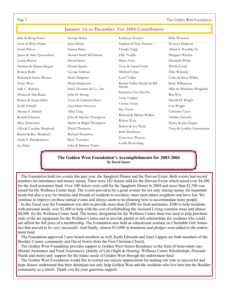The Golden West Foundation

| Sally & Doug Porter                                                                                                             | George Sichel                                                                                                                      | Kathleen Treanor                                                                                                      | Belle Weisman                                                       |
|---------------------------------------------------------------------------------------------------------------------------------|------------------------------------------------------------------------------------------------------------------------------------|-----------------------------------------------------------------------------------------------------------------------|---------------------------------------------------------------------|
| Gene & Betty Prince                                                                                                             | Janet Sichel                                                                                                                       | Stephen & Pam Treanor                                                                                                 | Western Disposal                                                    |
| Frank Pulver                                                                                                                    | Emma Slater                                                                                                                        | Claudia Tripp                                                                                                         | Alfred S. Westlake Sr.                                              |
| James & Mary Quesenbery                                                                                                         | Monica Small McNamara                                                                                                              | Ellie Trujillo                                                                                                        | Margaret Whelan                                                     |
| Louise Rector                                                                                                                   | David Smart                                                                                                                        | Bruce Tyler                                                                                                           | Elizabeth White                                                     |
| Herman & Dianna Regert                                                                                                          | Donna Sparks                                                                                                                       | Tony & Laurel Umile                                                                                                   | Whole Foods                                                         |
| Bonnie Robb                                                                                                                     | George Stahmer                                                                                                                     | Mildred Usher                                                                                                         | Elsie Wilensky                                                      |
| Richard & Karen Romeo                                                                                                           | Doris Steigman                                                                                                                     | Lynel Vallier                                                                                                         | Cathy & Steve Willett                                               |
| Nancy Root                                                                                                                      | Diana Steigmeier                                                                                                                   | Rachel Vallier Snyder & Bill                                                                                          | Betty Williamson                                                    |
| Sally C. Ruhnka                                                                                                                 | Stifel, Nicolaus & Co., Inc.                                                                                                       | Snyder                                                                                                                | Mike & Michaline Wingfield                                          |
| Donna & Tim Ruske                                                                                                               | John D. Strong                                                                                                                     | Henrietta Van Der Pol                                                                                                 | Rita Wos                                                            |
| Robert & Susan Sahm                                                                                                             | Tracy & Cameron Swen                                                                                                               | Viola Vaughn                                                                                                          | Harold D. Wright                                                    |
| Keith Schnell                                                                                                                   | Ann-Marie Swenson                                                                                                                  | Connie Visser                                                                                                         | Lois Wright                                                         |
| Maxine E. Schuck                                                                                                                | Allan Tang                                                                                                                         | Sue Visser                                                                                                            | Catherine Yates                                                     |
| Ronald Schuster<br>Mary Schweitzer<br>Ollie & Caroline Shepherd<br>Rachel & Roy Shepherd<br>Clyde F. Shindledecker<br>Liz Siaba | John & Marylin Thompson<br>Shirley & Ralph Thompson<br>David Thomson<br>Richard Thornton<br>Betty Tomasko<br>John & Barbara Torres | Richard & Marian Walker<br>Robert Walz<br>Robert & Joy Ward<br>Ruth Washburn<br>Genevieve Watson<br>Luella Weckerling | Adeline Zetocha<br>Nancy & Jim Ziegler<br>Terry & Cynthia Zimmerman |

#### **January 1st to December 31st 2004 Contributors**

#### **The Golden West Foundation's Accomplishments for 2003-2004 By David Smart**

 The Foundation held two events this past year, the Spaghetti Dinner and the Harvest Event. Both events had record numbers for attendance and money raised. There were 182 tickets sold for the Harvest Event which raised over \$4,500 for the food assistance fund. Over 300 tickets were sold for the Spaghetti Dinner in 2004 and more than \$2,700 was raised for the Wellness Center fund. The events proved to be a great avenue for not only raising money for important needs but also a way for families and friends of residents to socialize, meet each others neighbors and have fun. We continue to improve on these annual events and always seem to be planning how to accommodate more people.

 In this fiscal year the Foundation was able to provide more than \$2,000 for food assistance, \$300 to help residents with personal needs, over \$2,600 to help with the cost of refurbishing the Assisted Living common areas and almost \$8,000 for the Wellness Center fund. The money designated for the Wellness Center fund was used to help purchase state of the art equipment for the Wellness Center and to provide partial or full scholarships for residents who could not afford the full price of a membership. The Foundation also held an educational seminar on Charitable Gift Annuities that proved to be very successful. And finally, almost \$13,000 in donations and pledges were added to the endowment fund.

 The Foundation approved 3 new board members as well, Karla Edwards and Janet Lappen are both members of the Boulder County community and David Norris from the First Christian Church.

 The Golden West Foundation provides support to Golden West Senior Residence in the form of benevolent care (Rental Assistance and Food Assistance), Quality of Life (Sight & Hearing, Wellness Center Scholarships, Personal Needs and more) and support for the future needs of Golden West through the endowment fund.

 The Golden West Foundation would like to extend our sincere appreciation for making our year so successful and hope donors understand that their donations not only help Golden West and the residents who live here but the Boulder community as a whole. Thank you for your generous support.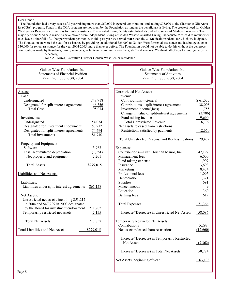#### Dear Donor,

 The Foundation had a very successful year raising more than \$60,000 in general contributions and adding \$75,000 to the Charitable Gift Annuity (CGA) program. Funds in the CGA program are not spent by the Foundation as long as the beneficiary is living. The greatest need for Golden West Senior Residence currently is for rental assistance. The assisted living facility established its budget to serve 24 Medicaid residents. The majority of our Medicaid residents have moved from Independent Living at Golden West to Assisted Living. Inadequate Medicaid reimbursement rates leave a shortfall of \$1000 per resident per month. In this past year we served **more** than the 24 Medicaid residents for which we budgeted. The Foundation answered the call for assistance by providing an additional \$25,000 to Golden West for rental assistance and has budgeted over \$30,000 for rental assistance for the year 2004-2005, more than ever before. The Foundation would not be able to do this without the generous contributions made by Residents, family members, volunteers, community members, staff and vendors. We thank all of you for your generosity. Sincerely,

John A. Torres, Executive Director Golden West Senior Residence

Golden West Foundation, Inc. Statements of Financial Position Year Ending June 30, 2004

#### Assets: Cash:

| Undesignated                                | \$48,718         |
|---------------------------------------------|------------------|
| Designated for split-interest agreements    | 46,356           |
| <b>Total Cash</b>                           | 95,074           |
| Investments:                                |                  |
|                                             |                  |
| Undesignated                                | 54,034           |
| Designated for investment endowment         | 53,212           |
| Designated for split-interest agreements    | 74,494           |
| Total investments                           | 181,740          |
|                                             |                  |
| Property and Equipment:                     |                  |
| Software                                    | 3,962            |
| Less: accumulated depreciation              | (1,761)          |
| Net property and equipment                  | 2,201            |
|                                             |                  |
| <b>Total Assets</b>                         | <u>\$279,015</u> |
| Liabilities and Net Assets:                 |                  |
| Liabilities:                                |                  |
|                                             |                  |
| Liabilities under split-interest agreements | <u>\$65,158</u>  |
| <b>Net Assets:</b>                          |                  |
| Unrestricted net assets, including \$53,212 |                  |
| in 2004 and \$47,709 in 2003 designated     |                  |
|                                             |                  |
| by the Board for investment endowment       | 211,702          |
| Temporarily restricted net assets           | 2,155            |
| <b>Total Net Assets</b>                     | 213,857          |
|                                             |                  |
| <b>Total Liabilities and Net Assets</b>     | <u>\$279,015</u> |

Golden West Foundation, Inc. Statements of Activities Year Ending June 30, 2004

| <b>Unrestricted Net Assets:</b>                  |               |
|--------------------------------------------------|---------------|
| Revenue:                                         |               |
| Contributions-General                            | \$61,035      |
| Contributions-split-interest agreements          | 38,098        |
| Investment income/(loss)                         | 11,755        |
| Change in value of split-interest agreements     | (3,786)       |
| Fund raising income                              | 9,690         |
| <b>Total Unrestricted Revenue</b>                | 116,792       |
| Net assets released from restrictions:           |               |
| Restrictions satisfied by payments               | 12,660        |
| Total Unrestricted Revenue and Reclassifications | 129,452       |
| Expenses:                                        |               |
| Contributions-First Christian Manor, Inc.        | 47,197        |
| Management fees                                  | 6,000         |
| Fund raising expense                             | 1,907         |
| Insurance                                        | 3,693         |
| Marketing                                        | 8,434         |
| Professional fees                                | 1,095         |
| Depreciation                                     | 1,321         |
| Supplies                                         | 691           |
| Miscellaneous                                    | 49            |
| Education                                        | 360           |
| Banking fees                                     | 619           |
| <b>Total Expenses</b>                            | <u>71,366</u> |
| Increase/(Decrease) in Unrestricted Net Assets   | 58,086        |
| Temporarily Restricted Net Assets:               |               |
| Contributions                                    | 5,298         |
| Net assets released from restrictions            | (12,660)      |
| Increase/(Decrease) in Temporarily Restricted    |               |
| Net Assets                                       | (7,362)       |
| Increase/(Decrease) in Total Net Assets          | 50,724        |
| Net Assets, beginning of year                    | 163,133       |
|                                                  |               |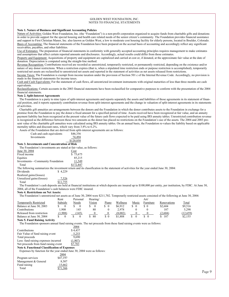#### GOLDEN WEST FOUNDATION, INC. NOTES TO FINANCIAL STATEMENTS

#### **Note 1. Nature of Business and Significant Accounting Policies**

Nature of Activities: Golden West Foundation, Inc. (the "Foundation") is a non-profit corporation organized to acquire funds from charitable gifts and donations in order to provide support for the special housing and health care related needs of the senior citizen's community. The Foundation provides financial assistance and support to First Christian Manor, Inc. also known as Golden West, a low to moderate cost housing facility for elderly persons, located in Boulder, Colorado. Basis of Accounting: The financial statements of the Foundation have been prepared on the accrual basis of accounting and accordingly reflect any significant receivables, payables, and other liabilities.

Use of Estimates: The preparation of financial statements in conformity with generally accepted accounting principles requires management to make estimates and assumptions that affect certain reported amounts and disclosures. Accordingly, actual results could differ from those estimates.

Property and Equipment: Acquisitions of property and equipment are capitalized and carried at cost or, if donated, at the approximate fair value at the date of donation. Depreciation is computed using the straight-line method.

Revenue Recognition: Contributions received are recorded as unrestricted, temporarily restricted, or permanently restricted, depending on the existence and/or nature of any donor restrictions. When a restriction expires (that is, when a stipulated time restriction ends or purpose restriction is accomplished), temporarily restricted net assets are reclassified to unrestricted net assets and reported in the statement of activities as net assets released from restrictions.

Income Taxes: The Foundation is exempt from income taxation under the provision of Section 501 c of the Internal Revenue Code. Accordingly, no provision is made in the financial statements for income taxes.

Cash and Cash Equivalents: For the statement of cash flows, all unrestricted investment instruments with original maturities of less than three months are cash equivalents.

Reclassifications: Certain accounts in the 2003 financial statements have been reclassified for comparative purposes to conform with the presentation of the 2004 financial statements.

#### **Note 2. Split-Interest Agreements**

 The Foundation is a party to nine types of split-interest agreements and reports separately the assets and liabilities of those agreements in its statement of financial position, and it reports separately contribution revenue from split-interest agreements and the change in valuation of split-interest agreements in its statements of activities.

 Charitable gift annuities are arrangements between the donors and the Foundation in which the donor contributes assets to the Foundation in exchange for a promise from the Foundation to pay the donor a fixed amount for a specified period of time. Assets received have been recognized at fair value, and an annuity payment liability has been recognized at the present value of the future cash flows expected to be paid using IRS annuity tables. Unrestricted contribution revenue is recognized as the difference between these two amounts as the donor has placed no restrictions on the Foundation's use of the assets. The 2004 and 2003 present value of the charitable gift annuities were calculated using IRS annuity tables. On an annual basis, the Foundation re-values the liability based on applicable mortality tables and discount rates, which vary from 3.8% to 6.2%.

Assets of the Foundation that are derived from split-interest agreements are as follows:

| Cash and cash equivalents | \$46,356  |
|---------------------------|-----------|
| Investments               | 74,494    |
|                           | \$120.850 |

**Note 3. Investments and Concentration of Risk** 

| The Foundation's investments are stated at fair value, as follows: |  |  |  |
|--------------------------------------------------------------------|--|--|--|
| $\sim$ $\sim$ $\sim$ $\sim$ $\sim$                                 |  |  |  |

| June 30, 2004                    | Cost      |
|----------------------------------|-----------|
| Fixed income                     | \$75.675  |
| Equities                         | 85.215    |
| Investments—Community Foundation | 11.549    |
| Total                            | \$172,847 |

The following summarizes the investment return and its classification in the statement of activities for the year ended June 30, 2004:

Dividends \$ 4.229

Realized gains/(losses)

Unrealized gains/(losses) 2,526 Total \$11,755

 The Foundation's cash deposits are held at financial institutions at which deposits are insured up to \$100,000 per entity, per institution, by FDIC. At June 30, 2004, all of the Foundation's cash balances were FDIC insured.

#### **Note 4. Restrictions on Net Assets:**

The Foundation's unrestricted net assets as of June 30, 2004 were \$211,702. Temporarily restricted assets consisted of the following at June 30, 2004:

|                               | Rent    | Personal | Hearing/ |       |          |       | Art       |             |          |
|-------------------------------|---------|----------|----------|-------|----------|-------|-----------|-------------|----------|
| <b>Temporarily Restricted</b> | Subsidy | Needs    | Vision   | Pianc | Wellness | Music | Furniture | Renovations | Total    |
| Balance at June 30, 2003      |         |          |          |       | \$6.912  |       |           | \$2.604     | \$9.516  |
| Contributions                 | .908    | 145      | 80       |       | 2.978    |       |           | 187         | 5.298    |
| Released from restriction     | (1.908) | 145)     |          |       | (8.002)  |       |           | (2,604)     | (12,659) |
| Balance at June 30, 2004      |         |          | 80       | \$0   | .888     |       |           | 187         | \$2.155  |

#### **Note 5. Fund Raising Activity**

The Foundation sponsors annual fund raising events. The net proceeds from these fund raising events were as follows:

|                                                                        |          | 2004    |  |
|------------------------------------------------------------------------|----------|---------|--|
| Contributions                                                          |          | \$4,437 |  |
| Fair Value of fund raising event                                       |          | 5,253   |  |
| Total proceeds                                                         |          | 9,690   |  |
| Less: fund raising expenses incurred                                   |          | (1,907) |  |
| Net proceeds from fund raising event                                   |          | \$7,783 |  |
| <b>Note 6. Functional Classification of Expenses</b>                   |          |         |  |
| Expenses by function for the year ended June 30, 2004 were as follows: |          |         |  |
|                                                                        | 2004     |         |  |
| Program services                                                       | \$47,197 |         |  |
| Management & General                                                   | 8,507    |         |  |
| Fund raising                                                           | 15,662   |         |  |
| Total                                                                  | \$71.366 |         |  |
|                                                                        |          |         |  |